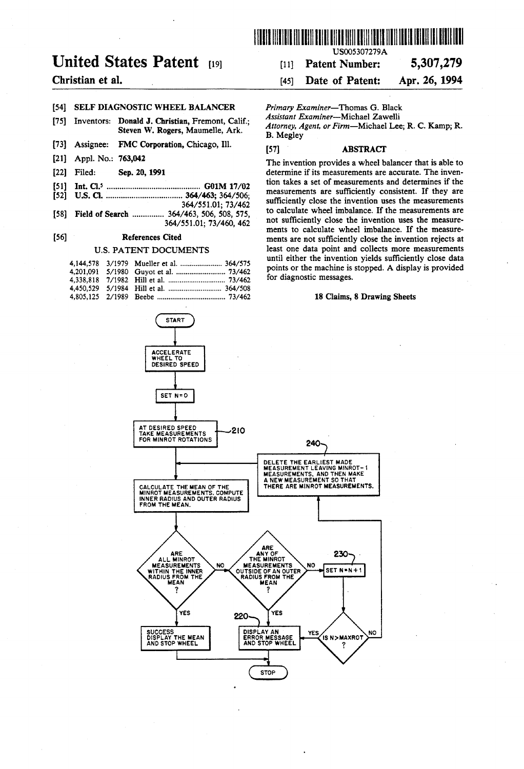

## Christian et al.

### [54] SELF DIAGNOSTIC WHEEL BALANCER

- [75] Donald J. Christian, Fremont, Calif.; Inventors: Steven W. Rogers, Maumelle, Ark.
- [73] Assignee: FMC Corporation, Chicago, Ill.
- [21] Appl. No.: 763,042
- [22] Filed: Sep. 20, 1991
- [51] Int. Cl.5 .......................................... .. G01M 17/02
- [52] US. Cl. .................................. .. 364/463; 364/506; 364/551.0l; 73/462
- [58] Field of Search ............... 364/463, 506, 508, 575, 364/55l.01; 73/460, 462

#### [56] References Cited

### U.S. PATENT DOCUMENTS

|  | 4,144,578 3/1979 Mueller et al.  364/575 |
|--|------------------------------------------|
|  |                                          |
|  |                                          |
|  |                                          |
|  |                                          |



HIIIIIIIIIIIIllllllllllllllllllllllllllllllllllllllIIIIIIIIIIIIIIIIIIIIIII USO05307279A

# [11] Patent Number: 5,307,279

### [45] Date of Patent: Apr. 26, 1994

Primary Examiner-Thomas G. Black

Assistant Examiner-Michael Zawelli

Attorney, Agent, or Firm-Michael Lee; R. C. Kamp; R. B. Megley

### [57] ABSTRACT

The invention provides a wheel balancer that is able to determine if its measurements are accurate. The inven tion takes a set of measurements and determines if the measurements are sufficiently consistent. If they are sufficiently close the invention uses the measurements to calculate wheel imbalance. If the measurements are not sufficiently close the invention uses the measurements to calculate wheel imbalance. If the measure ments are not sufficiently close the invention rejects at least one data point and collects more measurements until either the invention yields sufficiently close data points or the machine is stopped. A display is provided for diagnostic messages.

#### 18 Claims, 8 Drawing Sheets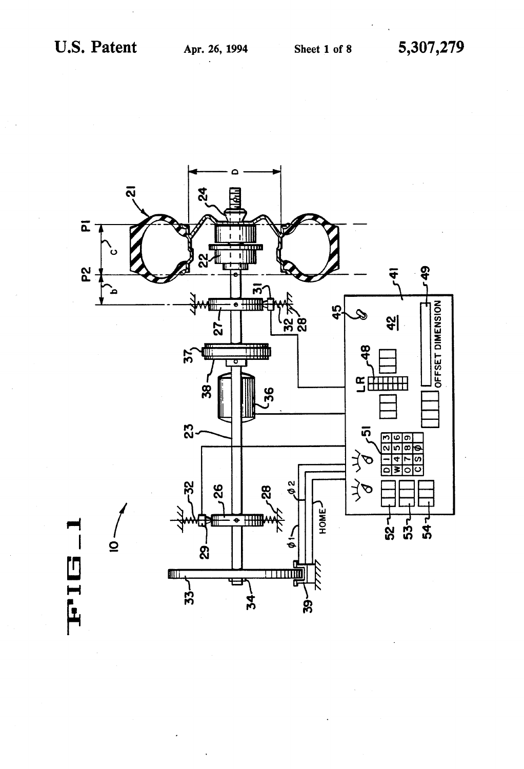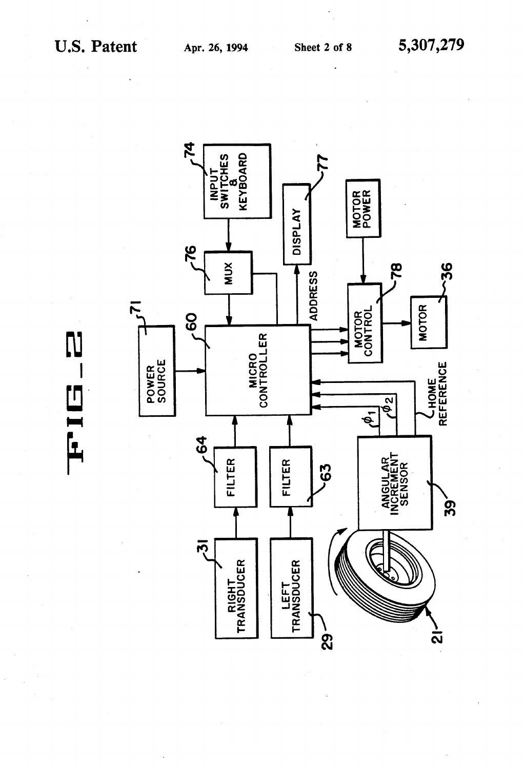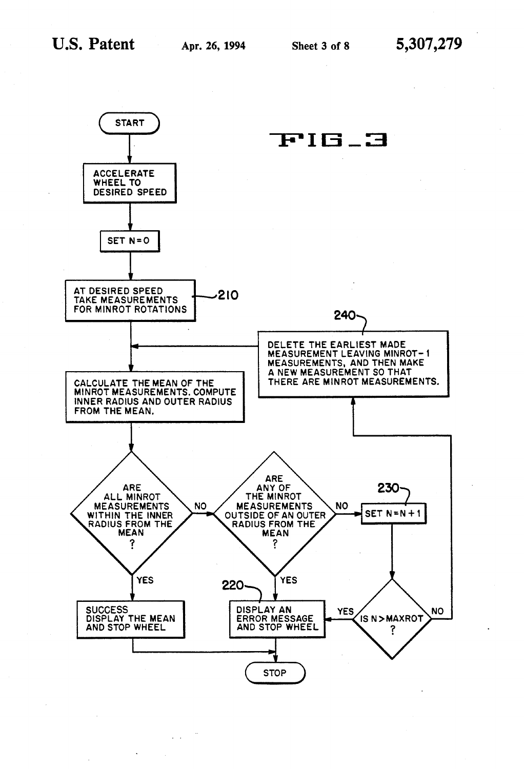

 $\mathbf{r}$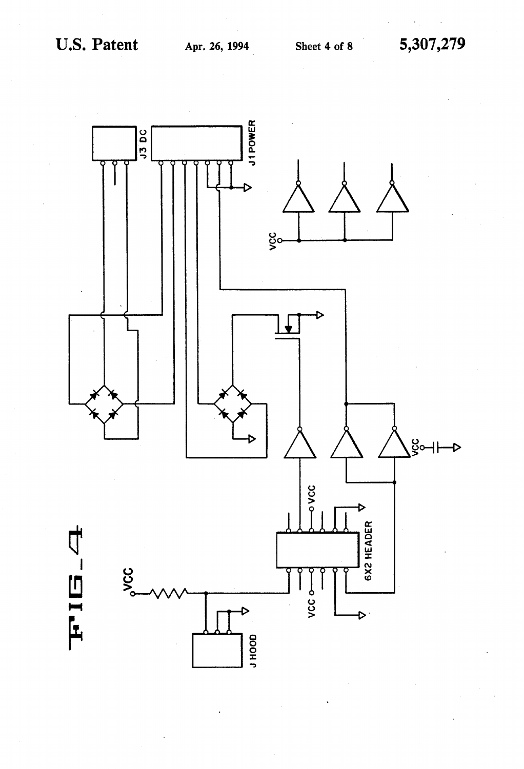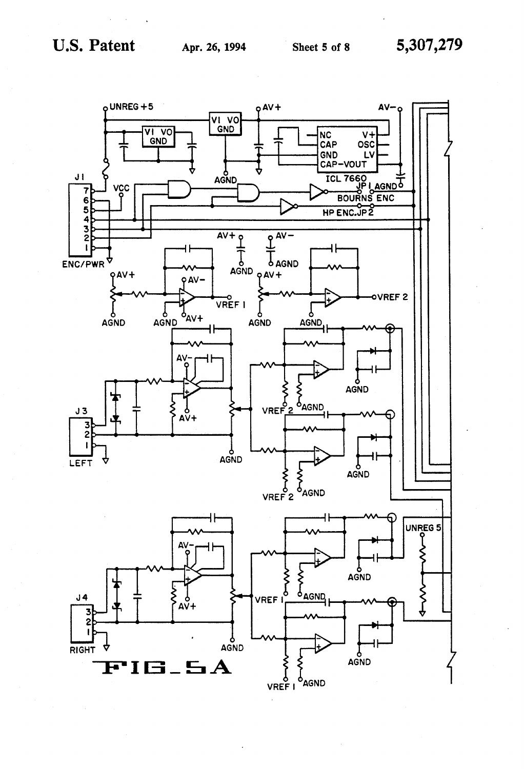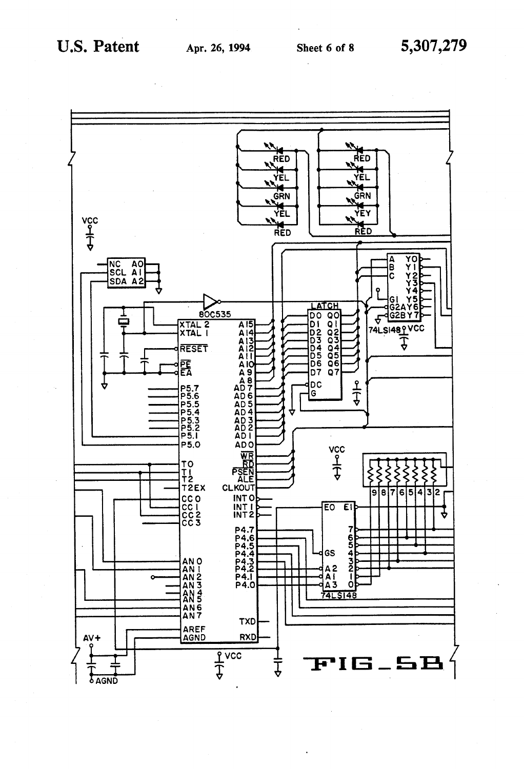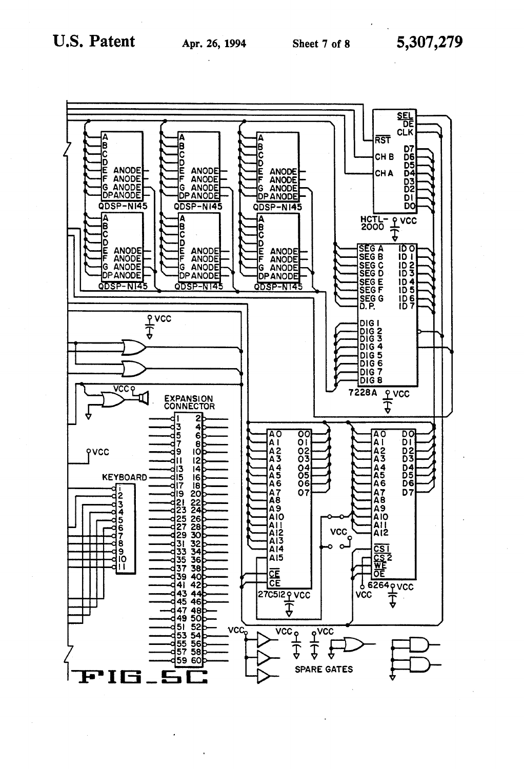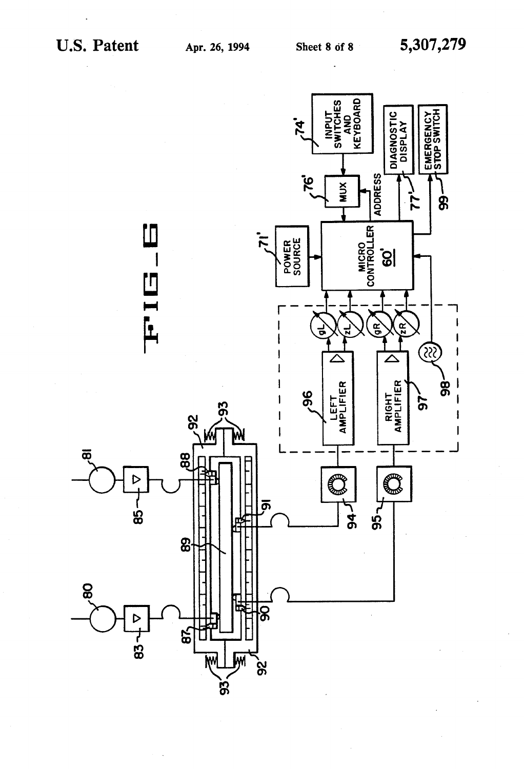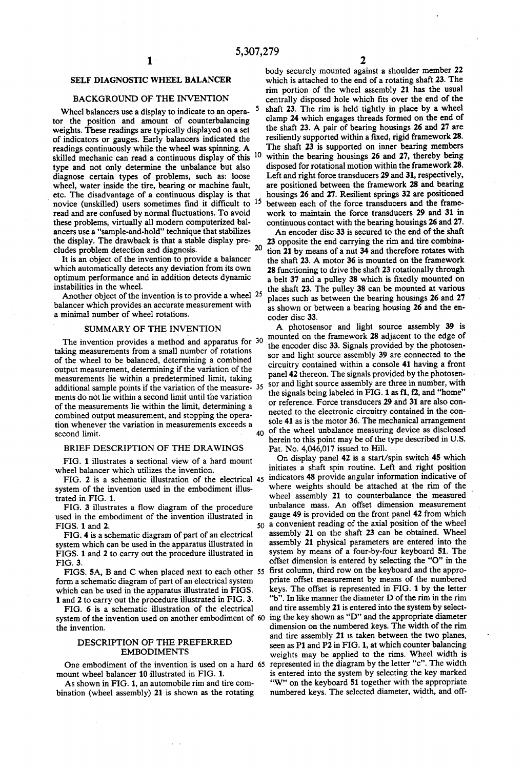### SELF DIAGNOSTIC WHEEL BALANCER

### BACKGROUND OF THE INVENTION

Wheel balancers use a display to indicate to an opera tor the position and amount of counterbalancing weights. These readings are typically displayed on a set of indicators or gauges. Early balancers indicated the readings continuously while the wheel was spinning. A skilled mechanic can read a continuous display of this <sup>10</sup> type and not only determine the unbalance but also diagnose certain types of problems, such as: loose wheel, water inside the tire, bearing or machine fault, ) etc. The disadvantage of a continuous display is that novice (unskilled) users sometimes find it difficult to  $15$ read and are confused by normal fluctuations. To avoid these problems, virtually all modern computerized bal ancers use a "sample-and-hold" technique that stabilizes the display. The drawback is that a stable display pre cludes problem detection and diagnosis. 20

It is an object of the invention to provide a balancer which automatically detects any deviation from its own optimum performance and in addition detects dynamic instabilities in the wheel.

Another object of the invention is to provide a wheel 25 balancer which provides an accurate measurement with a minimal number of wheel rotations.

### SUMMARY OF THE INVENTION

The invention provides a method and apparatus for 30 taking measurements from a small number of rotations of the wheel to be balanced, determining a combined output measurement, determining if the variation of the measurements lie within a predetermined limit, taking additional sample points if the variation of the measure- 35 ments do not lie within a second limit until the variation of the measurements lie within the limit, determining a combined output measurement, and stopping the opera tion whenever the variation in measurements exceeds a<br>second limit. second limit.

#### BRIEF DESCRIPTION OF THE DRAWINGS

FIG. 1 illustrates a sectional view of a hard mount wheel balancer which utilizes the invention.

system of the invention used in the embodiment illus trated in FIG. 1.

FIG. 3 illustrates a flow diagram of the procedure used in the embodiment of the invention illustrated in FIGS. 1 and 2.

FIG. 4 is a schematic diagram of part of an electrical system which can be used in the apparatus illustrated in FIGS. 1 and 2 to carry out the procedure illustrated in FIG. 3.

form a schematic diagram of part of an electrical system which can be used in the apparatus illustrated in FIGS. 1 and 2 to carry out the procedure illustrated in FIG. 3.

FIG. 6 is a schematic illustration of the electrical system of the invention used on another embodiment of 60 the invention.

### DESCRIPTION OF THE PREFERRED EMBODIMENTS

One embodiment of the invention is used on a hard 65 mount wheel balancer 10 illustrated in FIG. 1.

As shown in FIG. 1, an automobile rim and tire com bination (wheel assembly) 21 is shown as the rotating body securely mounted against a shoulder member 22 which is attached to the end of a rotating shaft 23. The rim portion of the wheel assembly 21 has the usual centrally disposed hole which fits over the end of the shaft 23. The rim is held tightly in place by a wheel clamp 24 which engages threads formed on the end of the shaft 23. A pair of bearing housings 26 and 27 are resiliently supported within a fixed, rigid framework 28. The shaft 23 is supported on inner bearing members within the bearing housings 26 and 27, thereby being disposed for rotational motion within the framework 28. Left and right force transducers 29 and 31, respectively, are positioned between the framework 28 and bearing housings 26 and 27. Resilient springs 32 are positioned between each of the force transducers and the framework to maintain the force transducers 29 and 31 in continuous contact with the bearing housings 26 and 27.

An encoder disc 33 is secured to the end of the shaft 23 opposite the end carrying the rim and tire combina tion 21 by means of a nut 34 and therefore rotates with the shaft 23. A motor 36 is mounted on the framework 28 functioning to drive the shaft 23 rotationally through a belt 37 and a pulley 38 which is fixedly mounted on the shaft 23. The pulley 38 can be mounted at various places such as between the bearing housings 26 and 27 as shown or between a bearing housing 26 and the en coder disc 33.

A photosensor and light source assembly 39 is mounted on the framework 28 adjacent to the edge of the encoder disc 33. Signals provided by the photosensor and light source assembly 39 are connected to the circuitry contained within a console 41 having a front panel 42 thereon. The signals provided by the photosensor and light source assembly are three in number, with the signals being labeled in FIG. 1 as f1, f2, and "home" or reference. Force transducers 29 and 31 are also con nected to the electronic circuitry contained in the con sole 41 as is the motor 36. The mechanical arrangement of the wheel unbalance measuring device as disclosed herein to this point may be of the type described in U.S. Pat. No. 4,046,017 issued to Hill.

FIG. 2 is a schematic illustration of the electrical  $45$  indicators 48 provide angular information indicative of FIGS. 5A, B and C when placed next to each other 55 first column, third row on the keyboard and the appro-50 a convenient reading of the axial position of the wheel On display panel 42 is a start/spin switch 45 which initiates a shaft spin routine. Left and right position where weights should be attached at the rim of the wheel assembly 21 to counterbalance the measured unbalance mass. An offset dimension measurement gauge 49 is provided on the front panel 42 from which assembly 21 on the shaft 23 can be obtained. Wheel assembly 21 physical parameters are entered into'the system by means of a four-by-four keyboard 51. The offset dimension is entered by selecting the "O" in the priate offset measurement by means of the numbered keys. The offset is represented in FIG. 1 by the letter "b". In like manner the diameter D of the rim in the rim and tire assembly 21 is entered into the system by select ing the key shown as "D" and the appropriate diameter dimension on the numbered keys. The width of the rim and tire assembly 21 is taken between the two planes, seen as P1 and P2 in FIG. 1, at which counter balancing weights may be applied to the rims. Wheel width is represented in the diagram by the letter "c". The width is entered into the system by selecting the key marked "W" on the keyboard 51 together with the appropriate numbered keys. The selected diameter, width, and off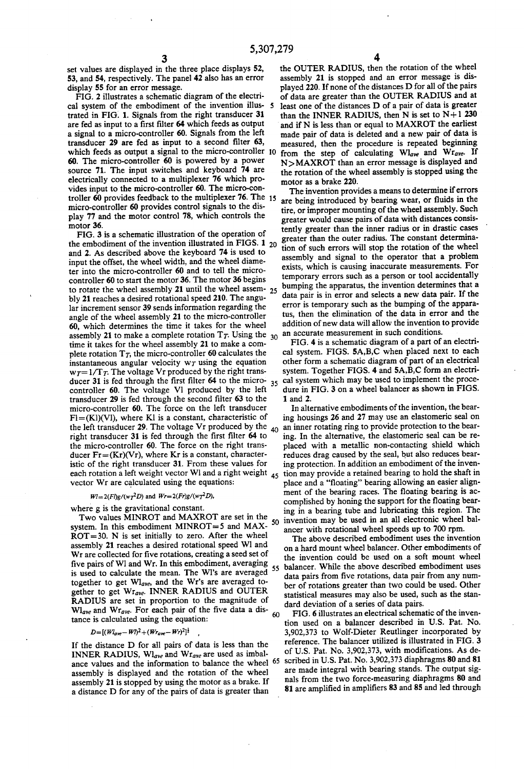set values are displayed in the three place displays 52, 53, and 54, respectively. The panel 42 also has an error display 55 for an error message.

FIG. 2 illustrates a schematic diagram of the electri cal system of the embodiment of the invention illus trated in FIG. 1. Signals from the right transducer 31 are fed as input to a first filter 64 which feeds as output a signal to a micro-controller 60. Signals from the left transducer  $29$  are fed as input to a second filter  $63$ , which feeds as output a signal to the micro-controller 10 60. The micro-controller 60 is powered by a power source 71. The input switches and keyboard 74 are electrically connected to a multiplexer 76 which pro vides input to the micro-controller 60. The micro-con troller 60 provides feedback to the multiplexer 76. The 15 micro-controller 60 provides control signals to the dis play 77 and the motor control 78, which controls the motor 36.

FIG. 3 is a schematic illustration of the operation of the embodiment of the invention illustrated in FIGS.  $1_{20}$ and 2. As described above the keyboard 74 is used to input the offset, the wheel width, and the wheel diame ter into the micro-controller 60 and to tell the micro controller 60 to start the motor 36. The motor 36 begins to rotate the wheel assembly 21 until the wheel assem- $25$ bly 21 reaches a desired rotational speed 210. The angu lar increment sensor 39 sends information regarding the angle of the wheel assembly 21 to the micro-controller 60, which determines the time it takes for the wheel assembly 21 to make a complete rotation  $T_T$ . Using the  $_{30}$ time it takes for the wheel assembly 21 to make a com plete rotation  $T<sub>T</sub>$ , the micro-controller 60 calculates the instantaneous angular velocity  $w_T$  using the equation  $w\tau = 1/T\tau$ . The voltage Vr produced by the right transducer 31 is fed through the first filter 64 to the micro-35 controller 60. The voltage Vl produced by the left transducer 29 is fed through the second filter 63 to the micro-controller 60. The force on the left transducer  $F = (KI)(VI)$ , where K1 is a constant, characteristic of the left transducer 29. The voltage Vr produced by the  $_{40}$ right transducer 31 is fed through the first filter 64 to the micro-controller 60. The force on the right trans ducer  $Fr = (Kr)(Vr)$ , where Kr is a constant, characteristic of the right transducer 31. From these values for each rotation a left weight vector Wl and a right weight  $_{45}$ vector Wr are calculated using the equations:

#### $W = 2(Fl)g/(wT^2D)$  and  $Wr = 2(Fr)g/(wT^2D)$ ,

where g is the gravitational constant.

Two values MINROT and MAXROT are set in the  $_{5.0}$ system. In this embodiment MINROT=5 and MAX  $ROT=30$ . N is set initially to zero. After the wheel assembly 21 reaches a desired rotational speed W1 and Wr are collected for five rotations, creating a seed set of five pairs of WI and Wr. In this embodiment, averaging 55 is used to calculate the mean. The Wl's are averaged together to get  $Wl_{ave}$ , and the Wr's are averaged together to get Wrave. INNER RADIUS and OUTER RADIUS are set in proportion to the magnitude of  $W_{\text{law}}$  and  $W_{\text{wave}}$ . For each pair of the five data a dis- $60$ tance is calculated using the equation:

#### $D = [(W_{ave} - W)^2 + (W_{cave} - W)^2]^{\frac{1}{2}}$

If the distance D for all pairs of data is less than the INNER RADIUS,  $W_{\text{layer}}$  and  $W_{\text{Target}}$  are used as imbalance values and the information to balance the wheel <sup>65</sup> assembly is displayed and the rotation of the wheel assembly 21 is stopped by using the motor as a brake. If a distance D for any of the pairs of data is greater than

the OUTER RADIUS, then the rotation of the wheel assembly 21 is stopped and an error message is dis played 220. If none of the distances D for all of the pairs of data are greater than the OUTER RADIUS and at least one of the distances D of a pair of data is greater than the INNER RADIUS, then N is set to  $N+1$  230 and if N is less than or equal to MAXROT the earliest made pair of data is deleted and a new pair of data is measured, then the procedure is repeated beginning from the step of calculating  $Wl_{ave}$  and  $Wr_{ave}$ . If N>MAXROT than an error message is displayed and the rotation of the wheel assembly is stopped using the motor as a brake 220.

The invention provides a means to determine if errors are being introduced by bearing wear, or fluids in the tire, or improper mounting of the wheel assembly. Such greater would cause pairs of data with distances consis tently greater than the inner radius or in drastic cases greater than the outer radius. The constant determina tion of such errors will stop the rotation of the wheel assembly and signal to the operator that a problem exists, which is causing inaccurate measurements. For temporary errors such as a person or tool accidentally bumping the apparatus, the invention determines that a data pair is in error and selects a new data pair. If the error is temporary such as the bumping of the appara tus, then the elimination of the data in error and the addition of new data will allow the invention to provide an accurate measurement in such conditions.

FIG. 4 is a schematic diagram of a part of an electri cal system. FIGS. 5A,B,C when placed next to each other form a schematic diagram of part of an electrical system. Together FIGS. 4 and 5A,B,C form an electri cal system which may be used to implement the proce dure in FIG. 3 on a wheel balancer as shown in FIGS. 1 and 2.

In alternative embodiments of the invention, the hear ing housings 26 and 27 may use an elastomeric seal on an inner rotating ring to provide protection to the bear ing. In the alternative, the elastomeric seal can be re placed with a metallic non-contacting shield which reduces drag caused by the seal, but also reduces bear ing protection. In addition an embodiment of the inven tion may provide a retained bearing to hold the shaft in place and a "floating" bearing allowing an easier align ment of the bearing races. The floating bearing is accomplished by honing the support for the floating bearing in a bearing tube and lubricating this region. The invention may be used in an all electronic wheel bal ancer with rotational wheel speeds up to 700 rpm.

The above described embodiment uses the invention on a hard mount wheel balancer. Other embodiments of the invention could be used on a soft mount wheel balancer. While the above described embodiment uses data pairs from five rotations, data pair from any number of rotations greater than two could be used. Other statistical measures may also be used, such as the stan dard deviation of a series of data pairs.

FIG. 6 illustrates an electrical schematic of the inven tion used on a balancer described in US. Pat. No. 3,902,373 to Wolf-Dieter Reutlinger incorporated by reference. The balancer utilized is illustrated in FIG. 3 of U.S. Pat. No. 3,902,373, with modifications. As described in U.S. Pat. No. 3,902,373 diaphragms 80 and 81 are made integral with bearing stands. The output sig nals from the two force-measuring diaphragms 80 and 81 are amplified in amplifiers 83 and 85 and led through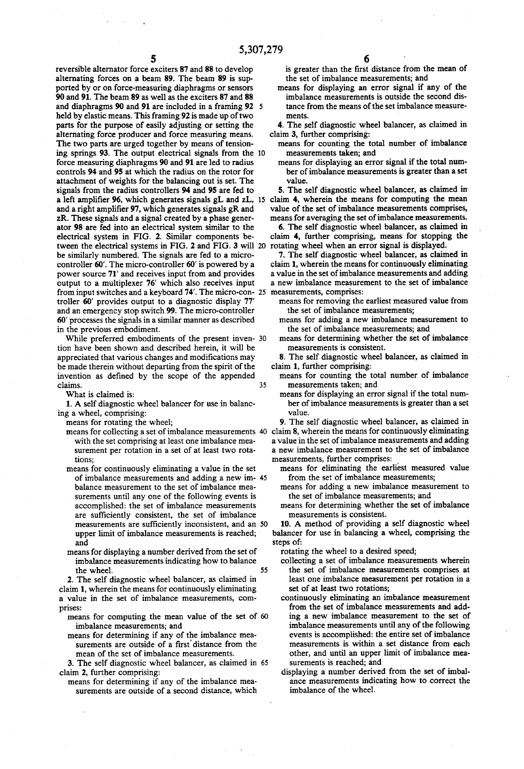reversible alternator force exciters 87 and 88 to develop alternating forces on a beam 89. The beam 89 is sup ported by or on force-measuring diaphragms or sensors 90 and 91. The beam 89 as well as the exciters 87 and 88 and diaphragms 90 and 91 are included in a framing 92 5 held by elastic means. This framing 92 is made up of two parts for the purpose of easily adjusting or setting the alternating force producer and force measuring means. The two parts are urged together by means of tension ing springs 93. The output electrical signals from the force measuring diaphragms 90 and 91 are led to radius controls 94 and 95 at which the radius on the rotor for attachment of weights for the balancing out is set. The signals from the radius controllers 94 and 95 are fed to a left amplifier 96, which generates signals gL and zL, 15 claim 4, wherein the means for computing the mean and a right amplifier 97, which generates signals gR and 2K. These signals and a signal created by a phase gener ator 98 are fed into an electrical system similar to the electrical system in FIG. 2. Similar components be tween the electrical systems in FIG. 2 and FIG. 3 will 20 be similarly numbered. The signals are fed to a micro controller 60'. The micro-controller 60' is powered by a power source 71' and receives input from and provides output to a multiplexer 76' which also receives input from input switches and a keyboard 74'. The micro-con- 25 troller 60' provides output to a diagnostic display 77' and an emergency stop switch 99. The micro-controller 60' processes the signals in a similar manner as described in the previous embodiment.

While preferred embodiments of the present inven- 30 tion have been shown and described herein, it will be appreciated that various changes and modifications may be made therein without departing from the spirit of the invention as defined by the scope of the appended claims. 35

What is claimed is:

1. A self diagnostic wheel balancer for use in balancing a wheel, comprising:

- ing a wheel, comprising: means for rotating the wheel; means for collecting a set of imbalance measurements 40 with the set comprising at least one imbalance mea surement per rotation in a set of at least two rota
	- tions; means for continuously eliminating a value in the set of imbalance measurements and adding a new im balance measurement to the set of imbalance mea surements until any one of the following events is accomplished: the set of imbalance measurements are sufficiently consistent, the set of imbalance measurements are sufficiently inconsistent, and an 50 upper limit of imbalance measurements is reached; and
	- means for displaying a number derived from the set of imbalance measurements indicating how to balance the wheel. 55

2. The self diagnostic wheel balancer, as claimed in claim 1, wherein the means for continuously eliminating a value in the set of imbalance measurements, com

- prises: means for computing the mean value of the set of 60
	- imbalance measurements; and means for determining if any of the imbalance mea surements are outside of a first distance from the mean of the set of imbalance measurements.

3. The self diagnostic wheel balancer, as claimed in 65

claim 2, further comprising: means for determining if any of the imbalance mea surements are outside of a second distance, which

is greater than the first distance from the mean of the set of imbalance measurements; and means for displaying an error signal if any of the

- imbalance measurements is outside the second dis tance from the means of the set imbalance measure ments.
- 4. The self diagnostic wheel balancer, as claimed in
- claim 3, further comprising: means for counting the total number of imbalance
	- measurements taken; and means for displaying an error signal if the total num ber of imbalance measurements is greater than a set value.

5. The self diagnostic wheel balancer, as claimed in' value of the set of imbalance measurements comprises, means for averaging the set of imbalance measurements.

6. The self diagnostic wheel balancer, as claimed in claim 4, further comprising, means for stopping the rotating wheel when an error signal is displayed.

7. The self diagnostic wheel balancer, as claimed in claim 1, wherein the means for continuously eliminating a value in the set of imbalance measurements and adding a new imbalance measurement to the set of imbalance

- means for removing the earliest measured value from the set of imbalance measurements;
- means for adding a new imbalance measurement to<br>the set of imbalance measurements: and
- means for determining whether the set of imbalance measurements is consistent.

8. The self diagnostic wheel balancer, as claimed in

- claim 1, further comprising: means for counting the total number of imbalance
	- measurements taken; and means for displaying an error signal if the total num ber of imbalance measurements is greater than a set value.

9. The self diagnostic wheel balancer, as claimed in claim 8, wherein the means for continuously eliminating a value in the set of imbalance measurements and adding a new imbalance measurement to the set of imbalance measurements, further comprises: .

- means for eliminating the earliest measured value<br>from the set of imbalance measurements:
- means for adding a new imbalance measurement to the set of imbalance measurements; and
- means for determining whether the set of imbalance measurements is consistent.

10. A method of providing a self diagnostic wheel balancer for use in balancing a wheel, comprising the steps of:

rotating the wheel to a desired speed;

- collecting a set of imbalance measurements wherein the set of imbalance measurements comprises at least one imbalance measurement per rotation in a set of at least two rotations;
- continuously eliminating an imbalance measurement from the set of imbalance measurements and add ing a new imbalance measurement to the set of imbalance measurements until any of the following events is accomplished: the entire set of imbalance measurements is within a set distance from each other, and until an upper limit of imbalance mea surements is reached; and
- displaying a number derived from the set of imbal ance measurements indicating how to correct the imbalance of the wheel.